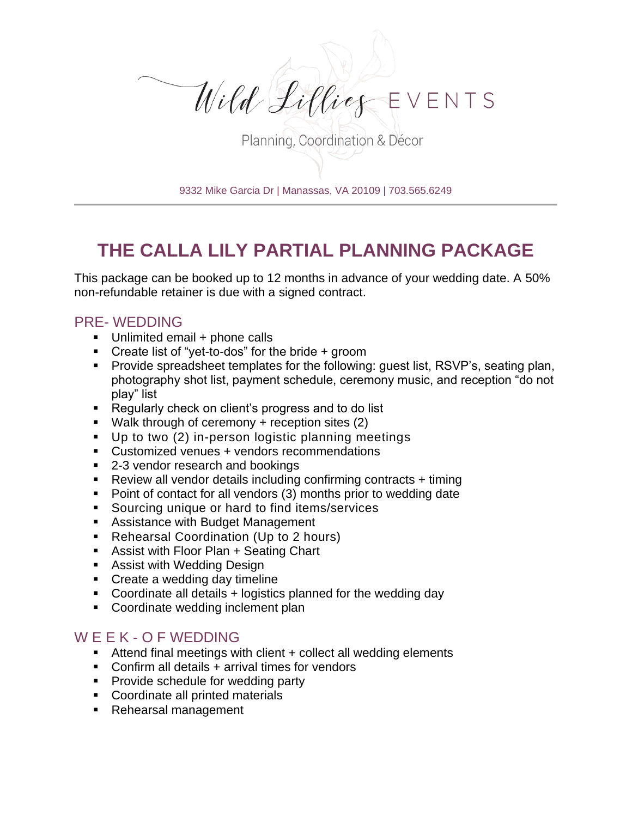

Planning, Coordination & Décor

9332 Mike Garcia Dr | Manassas, VA 20109 | 703.565.6249

## **THE CALLA LILY PARTIAL PLANNING PACKAGE**

This package can be booked up to 12 months in advance of your wedding date. A 50% non-refundable retainer is due with a signed contract.

## PRE- WEDDING

- Unlimited email + phone calls
- Create list of "yet-to-dos" for the bride + groom
- Provide spreadsheet templates for the following: quest list, RSVP's, seating plan, photography shot list, payment schedule, ceremony music, and reception "do not play" list
- Regularly check on client's progress and to do list
- $\blacksquare$  Walk through of ceremony + reception sites (2)
- Up to two (2) in-person logistic planning meetings
- Customized venues + vendors recommendations
- 2-3 vendor research and bookings
- Review all vendor details including confirming contracts + timing
- Point of contact for all vendors (3) months prior to wedding date
- Sourcing unique or hard to find items/services
- Assistance with Budget Management
- Rehearsal Coordination (Up to 2 hours)
- Assist with Floor Plan + Seating Chart
- Assist with Wedding Design
- Create a wedding day timeline
- Coordinate all details + logistics planned for the wedding day
- Coordinate wedding inclement plan

## W E E K - O F WEDDING

- Attend final meetings with client  $+$  collect all wedding elements
- Confirm all details + arrival times for vendors
- Provide schedule for wedding party
- Coordinate all printed materials
- Rehearsal management